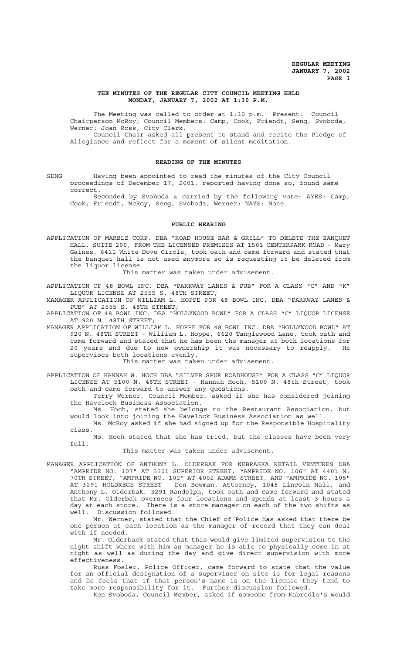### **THE MINUTES OF THE REGULAR CITY COUNCIL MEETING HELD MONDAY, JANUARY 7, 2002 AT 1:30 P.M.**

The Meeting was called to order at 1:30 p.m. Present: Council Chairperson McRoy; Council Members: Camp, Cook, Friendt, Seng, Svoboda, Werner; Joan Ross, City Clerk. Council Chair asked all present to stand and recite the Pledge of

Allegiance and reflect for a moment of silent meditation.

#### **READING OF THE MINUTES**

SENG Having been appointed to read the minutes of the City Council proceedings of December 17, 2001, reported having done so, found same correct.

Seconded by Svoboda & carried by the following vote: AYES: Camp, Cook, Friendt, McRoy, Seng, Svoboda, Werner; NAYS: None.

#### **PUBLIC HEARING**

APPLICATION OF MARBLZ CORP. DBA "ROAD HOUSE BAR & GRILL" TO DELETE THE BANQUET HALL, SUITE 200, FROM THE LICENSED PREMISES AT 1501 CENTERPARK ROAD - Mary Gaines, 6411 White Dove Circle, took oath and came forward and stated that the banquet hall is not used anymore so is requesting it be deleted from the liquor license.

This matter was taken under advisement.

APPLICATION OF 48 BOWL INC. DBA "PARKWAY LANES & PUB" FOR A CLASS "C" AND "K" LIQUOR LICENSE AT 2555 S. 48TH STREET;

MANAGER APPLICATION OF WILLIAM L. HOPPE FOR 48 BOWL INC. DBA "PARKWAY LANES & PUB" AT 2555 S. 48TH STREET;

APPLICATION OF 48 BOWL INC. DBA "HOLLYWOOD BOWL" FOR A CLASS "C" LIQUOR LICENSE AT 920 N. 48TH STREET;

MANAGER APPLICATION OF WILLIAM L. HOPPE FOR 48 BOWL INC. DBA "HOLLYWOOD BOWL" AT 920 N. 48TH STREET - William L. Hoppe, 6620 Tanglewood Lane, took oath and came forward and stated that he has been the manager at both locations for 20 years and due to new ownership it was necessary to reapply. He supervises both locations evenly.

This matter was taken under advisement.

- APPLICATION OF HANNAH W. HOCH DBA "SILVER SPUR ROADHOUSE" FOR A CLASS "C" LIQUOR LICENSE AT 5100 N. 48TH STREET - Hannah Hoch, 5100 N. 48th Street, took oath and came forward to answer any questions.
	- Terry Werner, Council Member, asked if she has considered joining the Havelock Business Association.
	- Ms. Hoch, stated she belongs to the Restaurant Association, but would look into joining the Havelock Business Association as well.
	- Ms. McRoy asked if she had signed up for the Responsible Hospitality class.
	- Ms. Hoch stated that she has tried, but the classes have been very full.

This matter was taken under advisement.

MANAGER APPLICATION OF ANTHONY L. OLDERBAK FOR NEBRASKA RETAIL VENTURES DBA "AMPRIDE NO. 107" AT 5501 SUPERIOR STREET, "AMPRIDE NO. 106" AT 4401 N. 70TH STREET, "AMPRIDE NO. 102" AT 4002 ADAMS STREET, AND "AMPRIDE NO. 105" AT 3291 HOLDREGE STREET - Don Bowman, Attorney, 1045 Lincoln Mall, and Anthony L. Olderbak, 3291 Randolph, took oath and came forward and stated that Mr. Olderbak oversees four locations and spends at least 3 hours a day at each store. There is a store manager on each of the two shifts as well. Discussion followed.

Mr. Werner, stated that the Chief of Police has asked that there be one person at each location as the manager of record that they can deal with if needed.

Mr. Olderback stated that this would give limited supervision to the night shift where with him as manager he is able to physically come in at night as well as during the day and give direct supervision with more effectiveness.

Russ Fosler, Police Officer, came forward to state that the value for an official designation of a supervisor on site is for legal reasons and he feels that if that person's name is on the license they tend to take more responsibility for it. Further discussion followed.

Ken Svoboda, Council Member, asked if someone from Kabredlo's would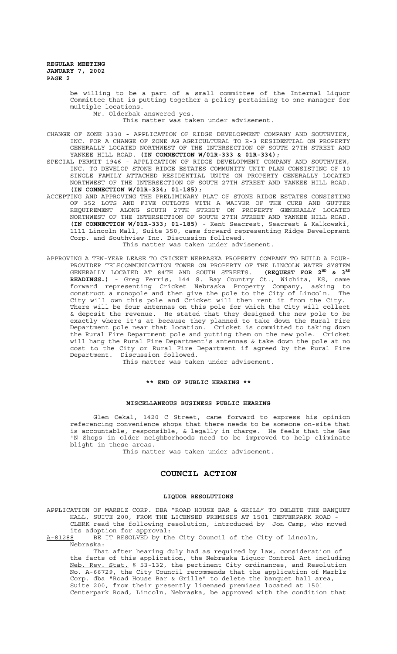be willing to be a part of a small committee of the Internal Liquor Committee that is putting together a policy pertaining to one manager for multiple locations.

Mr. Olderbak answered yes.

This matter was taken under advisement.

CHANGE OF ZONE 3330 - APPLICATION OF RIDGE DEVELOPMENT COMPANY AND SOUTHVIEW, INC. FOR A CHANGE OF ZONE AG AGRICULTURAL TO R-3 RESIDENTIAL ON PROPERTY GENERALLY LOCATED NORTHWEST OF THE INTERSECTION OF SOUTH 27TH STREET AND YANKEE HILL ROAD. (IN CONNECTION W/01R-333 & 01R-334);

SPECIAL PERMIT 1946 - APPLICATION OF RIDGE DEVELOPMENT COMPANY AND SOUTHVIEW, INC. TO DEVELOP STONE RIDGE ESTATES COMMUNITY UNIT PLAN CONSISTING OF 10 SINGLE FAMILY ATTACHED RESIDENTIAL UNITS ON PROPERTY GENERALLY LOCATED NORTHWEST OF THE INTERSECTION OF SOUTH 27TH STREET AND YANKEE HILL ROAD. **(IN CONNECTION W/01R-334; 01-185)**;

- ACCEPTING AND APPROVING THE PRELIMINARY PLAT OF STONE RIDGE ESTATES CONSISTING OF 352 LOTS AND FIVE OUTLOTS WITH A WAIVER OF THE CURB AND GUTTER REQUIREMENT ALONG SOUTH 27TH STREET ON PROPERTY GENERALLY LOCATED NORTHWEST OF THE INTERSECTION OF SOUTH 27TH STREET AND YANKEE HILL ROAD. **(IN CONNECTION W/01R-333; 01-185)** - Kent Seacrest, Seacrest & Kalkowski, 1111 Lincoln Mall, Suite 350, came forward representing Ridge Development Corp. and Southview Inc. Discussion followed. This matter was taken under advisement.
- APPROVING A TEN-YEAR LEASE TO CRICKET NEBRASKA PROPERTY COMPANY TO BUILD A FOUR-PROVIDER TELECOMMUNICATION TOWER ON PROPERTY OF THE LINCOLN WATER SYSTEM GENERALLY LOCATED AT 84TH AND SOUTH STREETS. **(REQUEST FOR 2ND & 3RD READINGS.)** - Greg Ferris, 144 S. Bay Country Ct., Wichita, KS, came forward representing Cricket Nebraska Property Company, asking to construct a monopole and then give the pole to the City of Lincoln. The City will own this pole and Cricket will then rent it from the City. There will be four antennas on this pole for which the City will collect & deposit the revenue. He stated that they designed the new pole to be exactly where it's at because they planned to take down the Rural Fire Department pole near that location. Cricket is committed to taking down the Rural Fire Department pole and putting them on the new pole. Cricket will hang the Rural Fire Department's antennas & take down the pole at no cost to the City or Rural Fire Department if agreed by the Rural Fire Department. Discussion followed.

This matter was taken under advisement.

# **\*\* END OF PUBLIC HEARING \*\***

#### **MISCELLANEOUS BUSINESS PUBLIC HEARING**

Glen Cekal, 1420 C Street, came forward to express his opinion referencing convenience shops that there needs to be someone on-site that is accountable, responsible, & legally in charge. He feels that the Gas 'N Shops in older neighborhoods need to be improved to help eliminate blight in these areas.

This matter was taken under advisement.

# **COUNCIL ACTION**

#### **LIQUOR RESOLUTIONS**

APPLICATION OF MARBLZ CORP. DBA "ROAD HOUSE BAR & GRILL" TO DELETE THE BANQUET HALL, SUITE 200, FROM THE LICENSED PREMISES AT 1501 CENTERPARK ROAD - CLERK read the following resolution, introduced by Jon Camp, who moved its adoption for approval:

A-81288 BE IT RESOLVED by the City Council of the City of Lincoln, Nebraska:

That after hearing duly had as required by law, consideration of the facts of this application, the Nebraska Liquor Control Act including Neb. Rev. Stat. § 53-132, the pertinent City ordinances, and Resolution No. A-66729, the City Council recommends that the application of Marblz Corp. dba "Road House Bar & Grille" to delete the banquet hall area, Suite 200, from their presently licensed premises located at 1501 Centerpark Road, Lincoln, Nebraska, be approved with the condition that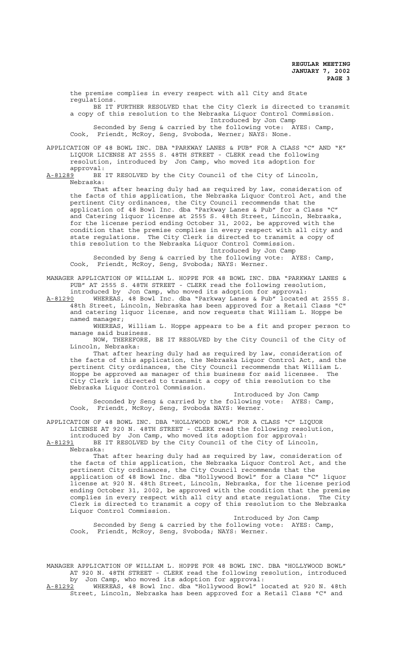the premise complies in every respect with all City and State regulations. BE IT FURTHER RESOLVED that the City Clerk is directed to transmit a copy of this resolution to the Nebraska Liquor Control Commission. Introduced by Jon Camp Seconded by Seng & carried by the following vote: AYES: Camp, Cook, Friendt, McRoy, Seng, Svoboda, Werner; NAYS: None. APPLICATION OF 48 BOWL INC. DBA "PARKWAY LANES & PUB" FOR A CLASS "C" AND "K" LIQUOR LICENSE AT 2555 S. 48TH STREET - CLERK read the following resolution, introduced by Jon Camp, who moved its adoption for approval:<br>A-81289 BE J BE IT RESOLVED by the City Council of the City of Lincoln, Nebraska: That after hearing duly had as required by law, consideration of the facts of this application, the Nebraska Liquor Control Act, and the pertinent City ordinances, the City Council recommends that the application of 48 Bowl Inc. dba "Parkway Lanes & Pub" for a Class "C" and Catering liquor license at 2555 S. 48th Street, Lincoln, Nebraska, for the license period ending October 31, 2002, be approved with the condition that the premise complies in every respect with all city and state regulations. The City Clerk is directed to transmit a copy of this resolution to the Nebraska Liquor Control Commission. Introduced by Jon Camp

Seconded by Seng & carried by the following vote: AYES: Camp, Cook, Friendt, McRoy, Seng, Svoboda; NAYS: Werner.

MANAGER APPLICATION OF WILLIAM L. HOPPE FOR 48 BOWL INC. DBA "PARKWAY LANES & PUB" AT 2555 S. 48TH STREET - CLERK read the following resolution, introduced by Jon Camp, who moved its adoption for approval:

A-81290 WHEREAS, 48 Bowl Inc. dba "Parkway Lanes & Pub" located at 2555 S. 48th Street, Lincoln, Nebraska has been approved for a Retail Class "C" and catering liquor license, and now requests that William L. Hoppe be named manager;

WHEREAS, William L. Hoppe appears to be a fit and proper person to manage said business.

NOW, THEREFORE, BE IT RESOLVED by the City Council of the City of Lincoln, Nebraska:

That after hearing duly had as required by law, consideration of the facts of this application, the Nebraska Liquor Control Act, and the pertinent City ordinances, the City Council recommends that William L. Hoppe be approved as manager of this business for said licensee. The City Clerk is directed to transmit a copy of this resolution to the Nebraska Liquor Control Commission.

Introduced by Jon Camp Seconded by Seng & carried by the following vote: AYES: Camp, Cook, Friendt, McRoy, Seng, Svoboda NAYS: Werner.

APPLICATION OF 48 BOWL INC. DBA "HOLLYWOOD BOWL" FOR A CLASS "C" LIQUOR LICENSE AT 920 N. 48TH STREET - CLERK read the following resolution, introduced by Jon Camp, who moved its adoption for approval:<br>A-81291 BE IT RESOLVED by the City Council of the City of Linco

BE IT RESOLVED by the City Council of the City of Lincoln,

Nebraska:

That after hearing duly had as required by law, consideration of the facts of this application, the Nebraska Liquor Control Act, and the pertinent City ordinances, the City Council recommends that the application of 48 Bowl Inc. dba "Hollywood Bowl" for a Class "C" liquor license at 920 N. 48th Street, Lincoln, Nebraska, for the license period ending October 31, 2002, be approved with the condition that the premise complies in every respect with all city and state regulations. The City complies in every respect with all city and state regulations. The City Clerk is directed to transmit a copy of this resolution to the Nebraska Liquor Control Commission.

Introduced by Jon Camp Seconded by Seng & carried by the following vote: AYES: Camp, Cook, Friendt, McRoy, Seng, Svoboda; NAYS: Werner.

MANAGER APPLICATION OF WILLIAM L. HOPPE FOR 48 BOWL INC. DBA "HOLLYWOOD BOWL" AT 920 N. 48TH STREET - CLERK read the following resolution, introduced by Jon Camp, who moved its adoption for approval:

A-81292 WHEREAS, 48 Bowl Inc. dba "Hollywood Bowl" located at 920 N. 48th Street, Lincoln, Nebraska has been approved for a Retail Class "C" and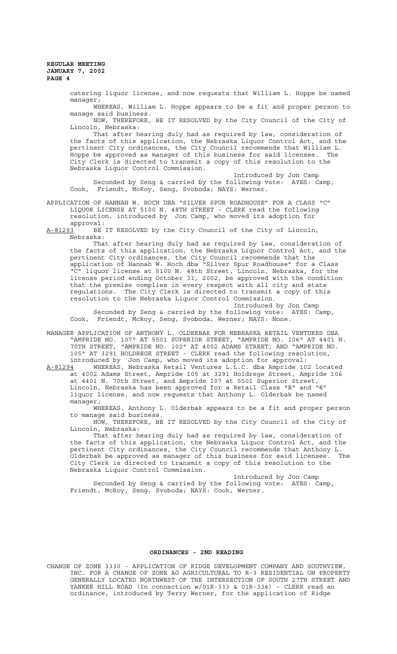catering liquor license, and now requests that William L. Hoppe be named manager;

WHEREAS, William L. Hoppe appears to be a fit and proper person to manage said business.

NOW, THEREFORE, BE IT RESOLVED by the City Council of the City of Lincoln, Nebraska:

That after hearing duly had as required by law, consideration of the facts of this application, the Nebraska Liquor Control Act, and the pertinent City ordinances, the City Council recommends that William L. Hoppe be approved as manager of this business for said licensee. The City Clerk is directed to transmit a copy of this resolution to the Nebraska Liquor Control Commission.

Introduced by Jon Camp Seconded by Seng & carried by the following vote: AYES: Camp, Cook, Friendt, McRoy, Seng, Svoboda; NAYS: Werner.

APPLICATION OF HANNAH W. HOCH DBA "SILVER SPUR ROADHOUSE" FOR A CLASS "C" LIQUOR LICENSE AT 5100 N. 48TH STREET - CLERK read the following resolution, introduced by Jon Camp, who moved its adoption for

approval: A-81293 BE IT RESOLVED by the City Council of the City of Lincoln, Nebraska:

That after hearing duly had as required by law, consideration of the facts of this application, the Nebraska Liquor Control Act, and the pertinent City ordinances, the City Council recommends that the application of Hannah W. Hoch dba "Silver Spur Roadhouse" for a Class "C" liquor license at 5100 N. 48th Street, Lincoln, Nebraska, for the license period ending October 31, 2002, be approved with the condition that the premise complies in every respect with all city and state regulations. The City Clerk is directed to transmit a copy of this resolution to the Nebraska Liquor Control Commission.

Introduced by Jon Camp

Seconded by Seng & carried by the following vote: AYES: Camp, Cook, Friendt, McRoy, Seng, Svoboda, Werner; NAYS: None.

MANAGER APPLICATION OF ANTHONY L. OLDERBAK FOR NEBRASKA RETAIL VENTURES DBA "AMPRIDE NO. 107" AT 5501 SUPERIOR STREET, "AMPRIDE NO. 106" AT 4401 N. 70TH STREET, "AMPRIDE NO. 102" AT 4002 ADAMS STREET, AND "AMPRIDE NO. 105" AT 3291 HOLDREGE STREET - CLERK read the following resolution, introduced by Jon Camp, who moved its adoption for approval:

A-81294 WHEREAS, Nebraska Retail Ventures L.L.C. dba Ampride 102 located at 4002 Adams Street, Ampride 105 at 3291 Holdrege Street, Ampride 106 at 4401 N. 70th Street, and Ampride 107 at 5501 Superior Street, Lincoln, Nebraska has been approved for a Retail Class "B" and "K" liquor license, and now requests that Anthony L. Olderbak be named manager;

WHEREAS, Anthony L. Olderbak appears to be a fit and proper person to manage said business.

NOW, THEREFORE, BE IT RESOLVED by the City Council of the City of Lincoln, Nebraska:

That after hearing duly had as required by law, consideration of the facts of this application, the Nebraska Liquor Control Act, and the pertinent City ordinances, the City Council recommends that Anthony L. Olderbak be approved as manager of this business for said licensee. The City Clerk is directed to transmit a copy of this resolution to the Nebraska Liquor Control Commission.

Introduced by Jon Camp Seconded by Seng & carried by the following vote: AYES: Camp, Friendt, McRoy, Seng, Svoboda; NAYS: Cook, Werner.

# **ORDINANCES - 2ND READING**

CHANGE OF ZONE 3330 - APPLICATION OF RIDGE DEVELOPMENT COMPANY AND SOUTHVIEW, INC. FOR A CHANGE OF ZONE AG AGRICULTURAL TO R-3 RESIDENTIAL ON PROPERTY GENERALLY LOCATED NORTHWEST OF THE INTERSECTION OF SOUTH 27TH STREET AND YANKEE HILL ROAD (In connection w/01R-333 & 01R-334) - CLERK read an ordinance, introduced by Terry Werner, for the application of Ridge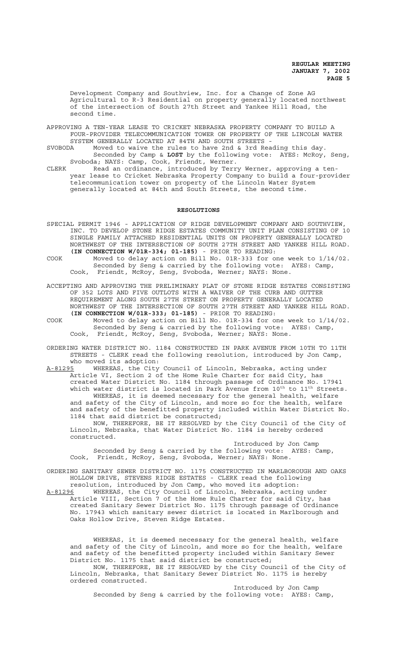Development Company and Southview, Inc. for a Change of Zone AG Agricultural to R-3 Residential on property generally located northwest of the intersection of South 27th Street and Yankee Hill Road, the second time.

- APPROVING A TEN-YEAR LEASE TO CRICKET NEBRASKA PROPERTY COMPANY TO BUILD A FOUR-PROVIDER TELECOMMUNICATION TOWER ON PROPERTY OF THE LINCOLN WATER SYSTEM GENERALLY LOCATED AT 84TH AND SOUTH STREETS -<br>SVOBODA Moved to waive the rules to have 2nd & 3rd Rea
- Moved to waive the rules to have 2nd & 3rd Reading this day. Seconded by Camp & **LOST** by the following vote: AYES: McRoy, Seng,
- Svoboda; NAYS: Camp, Cook, Friendt, Werner. CLERK Read an ordinance, introduced by Terry Werner, approving a tenyear lease to Cricket Nebraska Property Company to build a four-provider telecommunication tower on property of the Lincoln Water System generally located at 84th and South Streets, the second time.

#### **RESOLUTIONS**

- SPECIAL PERMIT 1946 APPLICATION OF RIDGE DEVELOPMENT COMPANY AND SOUTHVIEW, INC. TO DEVELOP STONE RIDGE ESTATES COMMUNITY UNIT PLAN CONSISTING OF 10 SINGLE FAMILY ATTACHED RESIDENTIAL UNITS ON PROPERTY GENERALLY LOCATED NORTHWEST OF THE INTERSECTION OF SOUTH 27TH STREET AND YANKEE HILL ROAD. **(IN CONNECTION W/01R-334; 01-185)** - PRIOR TO READING:
- COOK Moved to delay action on Bill No. 01R-333 for one week to 1/14/02. Seconded by Seng & carried by the following vote: AYES: Camp, Cook, Friendt, McRoy, Seng, Svoboda, Werner; NAYS: None.
- ACCEPTING AND APPROVING THE PRELIMINARY PLAT OF STONE RIDGE ESTATES CONSISTING OF 352 LOTS AND FIVE OUTLOTS WITH A WAIVER OF THE CURB AND GUTTER REQUIREMENT ALONG SOUTH 27TH STREET ON PROPERTY GENERALLY LOCATED NORTHWEST OF THE INTERSECTION OF SOUTH 27TH STREET AND YANKEE HILL ROAD. **(IN CONNECTION W/01R-333; 01-185)** - PRIOR TO READING:
- COOK Moved to delay action on Bill No. 01R-334 for one week to 1/14/02. Seconded by Seng & carried by the following vote: AYES: Camp, Cook, Friendt, McRoy, Seng, Svoboda, Werner; NAYS: None.
- ORDERING WATER DISTRICT NO. 1184 CONSTRUCTED IN PARK AVENUE FROM 10TH TO 11TH STREETS - CLERK read the following resolution, introduced by Jon Camp, who moved its adoption:
- A-81295 WHEREAS, the City Council of Lincoln, Nebraska, acting under Article VI, Section 2 of the Home Rule Charter for said City, has created Water District No. 1184 through passage of Ordinance No. 17941 which water district is located in Park Avenue from  $10^{\text{th}}$  to  $11^{\text{th}}$  Streets. WHEREAS, it is deemed necessary for the general health, welfare and safety of the City of Lincoln, and more so for the health, welfare and safety of the benefitted property included within Water District No. 1184 that said district be constructed;

NOW, THEREFORE, BE IT RESOLVED by the City Council of the City of Lincoln, Nebraska, that Water District No. 1184 is hereby ordered constructed.

Introduced by Jon Camp Seconded by Seng & carried by the following vote: AYES: Camp, Cook, Friendt, McRoy, Seng, Svoboda, Werner; NAYS: None.

- ORDERING SANITARY SEWER DISTRICT NO. 1175 CONSTRUCTED IN MARLBOROUGH AND OAKS HOLLOW DRIVE, STEVENS RIDGE ESTATES - CLERK read the following resolution, introduced by Jon Camp, who moved its adoption:
- A-81296 MHEREAS, the City Council of Lincoln, Nebraska, acting under Article VIII, Section 7 of the Home Rule Charter for said City, has created Sanitary Sewer District No. 1175 through passage of Ordinance No. 17943 which sanitary sewer district is located in Marlborough and Oaks Hollow Drive, Steven Ridge Estates.

WHEREAS, it is deemed necessary for the general health, welfare and safety of the City of Lincoln, and more so for the health, welfare and safety of the benefitted property included within Sanitary Sewer District No. 1175 that said district be constructed;

NOW, THEREFORE, BE IT RESOLVED by the City Council of the City of Lincoln, Nebraska, that Sanitary Sewer District No. 1175 is hereby ordered constructed.

Introduced by Jon Camp Seconded by Seng & carried by the following vote: AYES: Camp,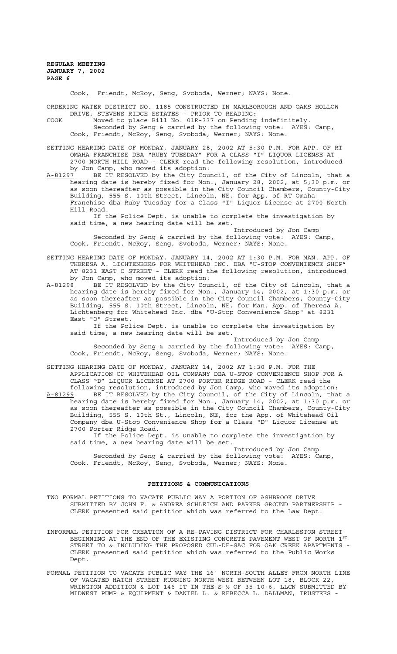Cook, Friendt, McRoy, Seng, Svoboda, Werner; NAYS: None.

ORDERING WATER DISTRICT NO. 1185 CONSTRUCTED IN MARLBOROUGH AND OAKS HOLLOW DRIVE, STEVENS RIDGE ESTATES - PRIOR TO READING:

COOK Moved to place Bill No. 01R-337 on Pending indefinitely. Seconded by Seng & carried by the following vote: AYES: Camp, Cook, Friendt, McRoy, Seng, Svoboda, Werner; NAYS: None.

SETTING HEARING DATE OF MONDAY, JANUARY 28, 2002 AT 5:30 P.M. FOR APP. OF RT OMAHA FRANCHISE DBA "RUBY TUESDAY" FOR A CLASS "I" LIQUOR LICENSE AT 2700 NORTH HILL ROAD - CLERK read the following resolution, introduced by Jon Camp, who moved its adoption:

A-81297 BE IT RESOLVED by the City Council, of the City of Lincoln, that a hearing date is hereby fixed for Mon., January 28, 2002, at 5;30 p.m. or as soon thereafter as possible in the City Council Chambers, County-City Building, 555 S. 10th Street, Lincoln, NE, for App. of RT Omaha Franchise dba Ruby Tuesday for a Class "I" Liquor License at 2700 North Hill Road.

If the Police Dept. is unable to complete the investigation by said time, a new hearing date will be set. Introduced by Jon Camp

Seconded by Seng & carried by the following vote: AYES: Camp, Cook, Friendt, McRoy, Seng, Svoboda, Werner; NAYS: None.

SETTING HEARING DATE OF MONDAY, JANUARY 14, 2002 AT 1:30 P.M. FOR MAN. APP. OF THERESA A. LICHTENBERG FOR WHITEHEAD INC. DBA "U-STOP CONVENIENCE SHOP" AT 8231 EAST O STREET - CLERK read the following resolution, introduced by Jon Camp, who moved its adoption:

A-81298 BE IT RESOLVED by the City Council, of the City of Lincoln, that a hearing date is hereby fixed for Mon., January 14, 2002, at 1:30 p.m. or as soon thereafter as possible in the City Council Chambers, County-City Building, 555 S. 10th Street, Lincoln, NE, for Man. App. of Theresa A. Lichtenberg for Whitehead Inc. dba "U-Stop Convenience Shop" at 8231 East "O" Street.

If the Police Dept. is unable to complete the investigation by said time, a new hearing date will be set. Introduced by Jon Camp

Seconded by Seng & carried by the following vote: AYES: Camp, Cook, Friendt, McRoy, Seng, Svoboda, Werner; NAYS: None.

SETTING HEARING DATE OF MONDAY, JANUARY 14, 2002 AT 1:30 P.M. FOR THE APPLICATION OF WHITEHEAD OIL COMPANY DBA U-STOP CONVENIENCE SHOP FOR A CLASS "D" LIQUOR LICENSE AT 2700 PORTER RIDGE ROAD - CLERK read the following resolution, introduced by Jon Camp, who moved its adoption:

A-81299 BE IT RESOLVED by the City Council, of the City of Lincoln, that a hearing date is hereby fixed for Mon., January 14, 2002, at 1:30 p.m. or as soon thereafter as possible in the City Council Chambers, County-City Building, 555 S. 10th St., Lincoln, NE, for the App. of Whitehead Oil Company dba U-Stop Convenience Shop for a Class "D" Liquor License at 2700 Porter Ridge Road.

If the Police Dept. is unable to complete the investigation by said time, a new hearing date will be set.

Introduced by Jon Camp Seconded by Seng & carried by the following vote: AYES: Camp, Cook, Friendt, McRoy, Seng, Svoboda, Werner; NAYS: None.

# **PETITIONS & COMMUNICATIONS**

- TWO FORMAL PETITIONS TO VACATE PUBLIC WAY A PORTION OF ASHBROOK DRIVE SUBMITTED BY JOHN F. & ANDREA SCHLEICH AND PARKER GROUND PARTNERSHIP - CLERK presented said petition which was referred to the Law Dept.
- INFORMAL PETITION FOR CREATION OF A RE-PAVING DISTRICT FOR CHARLESTON STREET BEGINNING AT THE END OF THE EXISTING CONCRETE PAVEMENT WEST OF NORTH  $1^{ST}$ STREET TO & INCLUDING THE PROPOSED CUL-DE-SAC FOR OAK CREEK APARTMENTS - CLERK presented said petition which was referred to the Public Works Dept.
- FORMAL PETITION TO VACATE PUBLIC WAY THE 16' NORTH-SOUTH ALLEY FROM NORTH LINE OF VACATED HATCH STREET RUNNING NORTH-WEST BETWEEN LOT 18, BLOCK 22, WRINGTON ADDITION & LOT 146 IT IN THE S ½ OF 35-10-6, LLCN SUBMITTED BY MIDWEST PUMP & EQUIPMENT & DANIEL L. & REBECCA L. DALLMAN, TRUSTEES -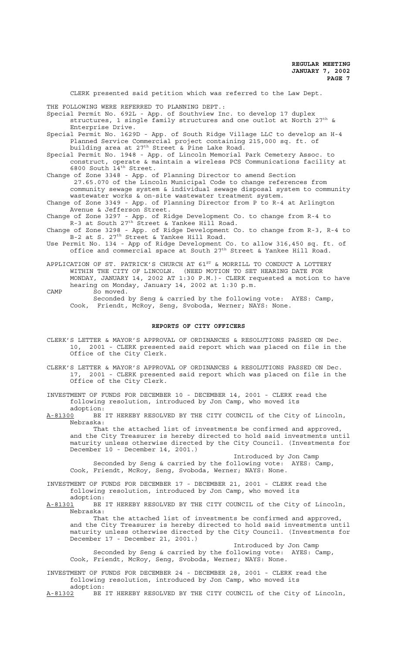CLERK presented said petition which was referred to the Law Dept. THE FOLLOWING WERE REFERRED TO PLANNING DEPT.: Special Permit No. 692L - App. of Southview Inc. to develop 17 duplex structures, 1 single family structures and one outlot at North 27<sup>th</sup> & Enterprise Drive. Special Permit No. 1629D - App. of South Ridge Village LLC to develop an H-4 Planned Service Commercial project containing 215,000 sq. ft. of building area at 27<sup>th</sup> Street & Pine Lake Road. Special Permit No. 1948 - App. of Lincoln Memorial Park Cemetery Assoc. to construct, operate & maintain a wireless PCS Communications facility at 6800 South 14<sup>th</sup> Street. Change of Zone 3348 - App. of Planning Director to amend Section 27.65.070 of the Lincoln Municipal Code to change references from community sewage system & individual sewage disposal system to community wastewater works & on-site wastewater treatment system. Change of Zone 3349 - App. of Planning Director from P to R-4 at Arlington Avenue & Jefferson Street. Change of Zone 3297 - App. of Ridge Development Co. to change from R-4 to  $R-3$  at South  $27^{th}$  Street & Yankee Hill Road. Change of Zone 3298 - App. of Ridge Development Co. to change from R-3, R-4 to B-2 at S. 27<sup>th</sup> Street & Yankee Hill Road.

Use Permit No. 134 - App of Ridge Development Co. to allow 316,450 sq. ft. of office and commercial space at South 27<sup>th</sup> Street & Yankee Hill Road.

APPLICATION OF ST. PATRICK'S CHURCH AT  $61^{ST}$  & MORRILL TO CONDUCT A LOTTERY WITHIN THE CITY OF LINCOLN. (NEED MOTION TO SET HEARING DATE FOR MONDAY, JANUARY 14, 2002 AT 1:30 P.M.)- CLERK requested a motion to have hearing on Monday, January 14, 2002 at 1:30 p.m. CAMP So moved.

Seconded by Seng & carried by the following vote: AYES: Camp, Cook, Friendt, McRoy, Seng, Svoboda, Werner; NAYS: None.

#### **REPORTS OF CITY OFFICERS**

- CLERK'S LETTER & MAYOR'S APPROVAL OF ORDINANCES & RESOLUTIONS PASSED ON Dec. 10, 2001 - CLERK presented said report which was placed on file in the Office of the City Clerk.
- CLERK'S LETTER & MAYOR'S APPROVAL OF ORDINANCES & RESOLUTIONS PASSED ON Dec. 17, 2001 - CLERK presented said report which was placed on file in the Office of the City Clerk.

INVESTMENT OF FUNDS FOR DECEMBER 10 - DECEMBER 14, 2001 - CLERK read the following resolution, introduced by Jon Camp, who moved its adoption:

A-81300 BE IT HEREBY RESOLVED BY THE CITY COUNCIL of the City of Lincoln, Nebraska:

That the attached list of investments be confirmed and approved, and the City Treasurer is hereby directed to hold said investments until maturity unless otherwise directed by the City Council. (Investments for December 10 - December 14, 2001.)

Introduced by Jon Camp Seconded by Seng & carried by the following vote: AYES: Camp, Cook, Friendt, McRoy, Seng, Svoboda, Werner; NAYS: None.

INVESTMENT OF FUNDS FOR DECEMBER 17 - DECEMBER 21, 2001 - CLERK read the following resolution, introduced by Jon Camp, who moved its adoption:

A-81301 BE IT HEREBY RESOLVED BY THE CITY COUNCIL of the City of Lincoln, Nebraska:

That the attached list of investments be confirmed and approved, and the City Treasurer is hereby directed to hold said investments until maturity unless otherwise directed by the City Council. (Investments for December 17 - December 21, 2001.)

Introduced by Jon Camp Seconded by Seng & carried by the following vote: AYES: Camp, Cook, Friendt, McRoy, Seng, Svoboda, Werner; NAYS: None.

INVESTMENT OF FUNDS FOR DECEMBER 24 - DECEMBER 28, 2001 - CLERK read the following resolution, introduced by Jon Camp, who moved its adoption:

A-81302 BE IT HEREBY RESOLVED BY THE CITY COUNCIL of the City of Lincoln,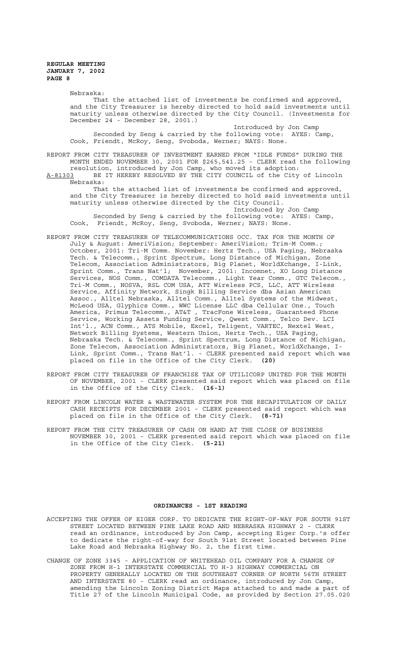> Nebraska: That the attached list of investments be confirmed and approved, and the City Treasurer is hereby directed to hold said investments until maturity unless otherwise directed by the City Council. (Investments for December 24 - December 28, 2001.) Introduced by Jon Camp

Seconded by Seng & carried by the following vote: AYES: Camp, Cook, Friendt, McRoy, Seng, Svoboda, Werner; NAYS: None.

REPORT FROM CITY TREASURER OF INVESTMENT EARNED FROM "IDLE FUNDS" DURING THE MONTH ENDED NOVEMBER 30, 2001 FOR \$265,541.25 - CLERK read the following resolution, introduced by Jon Camp, who moved its adoption: A-81303 BE IT HEREBY RESOLVED BY THE CITY COUNCIL of the City of Lincoln Nebraska:

That the attached list of investments be confirmed and approved, and the City Treasurer is hereby directed to hold said investments until maturity unless otherwise directed by the City Council. Introduced by Jon Camp

Seconded by Seng & carried by the following vote: AYES: Camp, Cook, Friendt, McRoy, Seng, Svoboda, Werner; NAYS: None.

- REPORT FROM CITY TREASURER OF TELECOMMUNICATIONS OCC. TAX FOR THE MONTH OF July & August: AmeriVision; September: AmeriVision; Trim-M Comm.; October, 2001: Tri-M Comm. November: Hertz Tech., USA Paging, Nebraska Tech. & Telecomm., Sprint Spectrum, Long Distance of Michigan, Zone Telecom, Association Administrators, Big Planet, WorldXchange, I-Link, Sprint Comm., Trans Nat'l; November, 2001: Incomnet, XO Long Distance Services, NOS Comm., COMDATA Telecomm., Light Year Comm., GTC Telecom., Tri-M Comm., NOSVA, RSL COM USA, ATT Wireless PCS, LLC, ATT Wireless Service, Affinity Network, Singk Billing Service dba Asian American Assoc., Alltel Nebraska, Alltel Comm., Alltel Systems of the Midwest, McLeod USA, Glyphics Comm., WWC License LLC dba Cellular One., Touch America, Primus Telecomm., AT&T , TracFone Wireless, Guaranteed Phone Service, Working Assets Funding Service, Qwest Comm., Telco Dev. LCI Int'l., ACN Comm., ATS Mobile, Excel, Teligent, VARTEC, Nextel West, Network Billing Systems, Western Union, Hertz Tech., USA Paging, Nebraska Tech. & Telecomm., Sprint Spectrum, Long Distance of Michigan, Zone Telecom, Association Administrators, Big Planet, WorldXchange, I-Link, Sprint Comm., Trans Nat'l. - CLERK presented said report which was placed on file in the Office of the City Clerk. **(20)**
- REPORT FROM CITY TREASURER OF FRANCHISE TAX OF UTILICORP UNITED FOR THE MONTH OF NOVEMBER, 2001 - CLERK presented said report which was placed on file in the Office of the City Clerk. **(16-1)**
- REPORT FROM LINCOLN WATER & WASTEWATER SYSTEM FOR THE RECAPITULATION OF DAILY CASH RECEIPTS FOR DECEMBER 2001 - CLERK presented said report which was placed on file in the Office of the City Clerk. **(8-71)**
- REPORT FROM THE CITY TREASURER OF CASH ON HAND AT THE CLOSE OF BUSINESS NOVEMBER 30, 2001 - CLERK presented said report which was placed on file in the Office of the City Clerk. **(5-21)**

# **ORDINANCES - 1ST READING**

- ACCEPTING THE OFFER OF EIGER CORP. TO DEDICATE THE RIGHT-OF-WAY FOR SOUTH 91ST STREET LOCATED BETWEEN PINE LAKE ROAD AND NEBRASKA HIGHWAY 2 - CLERK read an ordinance, introduced by Jon Camp, accepting Eiger Corp.'s offer to dedicate the right-of-way for South 91st Street located between Pine Lake Road and Nebraska Highway No. 2, the first time.
- CHANGE OF ZONE 3345 APPLICATION OF WHITEHEAD OIL COMPANY FOR A CHANGE OF ZONE FROM H-1 INTERSTATE COMMERCIAL TO H-3 HIGHWAY COMMERCIAL ON PROPERTY GENERALLY LOCATED ON THE SOUTHEAST CORNER OF NORTH 56TH STREET AND INTERSTATE 80 - CLERK read an ordinance, introduced by Jon Camp, amending the Lincoln Zoning District Maps attached to and made a part of Title 27 of the Lincoln Municipal Code, as provided by Section 27.05.020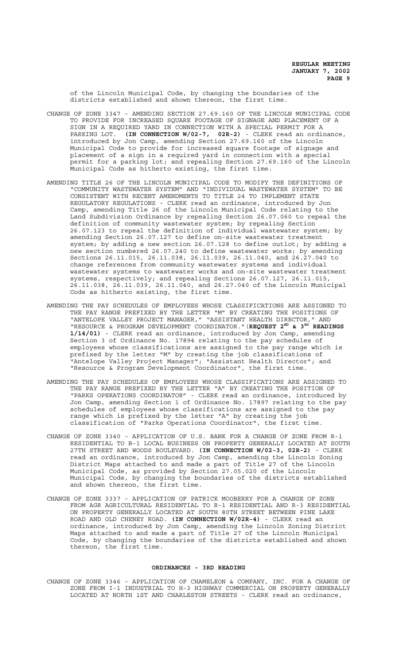of the Lincoln Municipal Code, by changing the boundaries of the districts established and shown thereon, the first time.

- CHANGE OF ZONE 3347 AMENDING SECTION 27.69.160 OF THE LINCOLN MUNICIPAL CODE TO PROVIDE FOR INCREASED SQUARE FOOTAGE OF SIGNAGE AND PLACEMENT OF A SIGN IN A REQUIRED YARD IN CONNECTION WITH A SPECIAL PERMIT FOR A PARKING LOT. **(IN CONNECTION W/02-7, 02R-2)** - CLERK read an ordinance, introduced by Jon Camp, amending Section 27.69.160 of the Lincoln Municipal Code to provide for increased square footage of signage and placement of a sign in a required yard in connection with a special permit for a parking lot; and repealing Section 27.69.160 of the Lincoln Municipal Code as hitherto existing, the first time.
- AMENDING TITLE 26 OF THE LINCOLN MUNICIPAL CODE TO MODIFY THE DEFINITIONS OF "COMMUNITY WASTEWATER SYSTEM" AND "INDIVIDUAL WASTEWATER SYSTEM" TO BE CONSISTENT WITH RECENT AMENDMENTS TO TITLE 24 TO IMPLEMENT STATE REGULATORY REGULATIONS - CLERK read an ordinance, introduced by Jon Camp, amending Title 26 of the Lincoln Municipal Code relating to the Land Subdivision Ordinance by repealing Section 26.07.060 to repeal the definition of community wastewater system; by repealing Section 26.07.123 to repeal the definition of individual wastewater system; by amending Section 26.07.127 to define on-site wastewater treatment system; by adding a new section 26.07.128 to define outlot; by adding a new section numbered 26.07.240 to define wastewater works; by amending Sections 26.11.015, 26.11.038, 26.11.039, 26.11.040, and 26.27.040 to change references from community wastewater systems and individual wastewater systems to wastewater works and on-site wastewater treatment systems, respectively; and repealing Sections 26.07.127, 26.11.015, 26.11.038, 26.11.039, 26.11.040, and 26.27.040 of the Lincoln Municipal Code as hitherto existing, the first time.
- AMENDING THE PAY SCHEDULES OF EMPLOYEES WHOSE CLASSIFICATIONS ARE ASSIGNED TO THE PAY RANGE PREFIXED BY THE LETTER "M" BY CREATING THE POSITIONS OF "ANTELOPE VALLEY PROJECT MANAGER," "ASSISTANT HEALTH DIRECTOR," AND "RESOURCE & PROGRAM DEVELOPMENT COORDINATOR." (REQUEST 2<sup>ND</sup> & 3<sup>RD</sup> READINGS **1/14/01)** - CLERK read an ordinance, introduced by Jon Camp, amending Section 3 of Ordinance No. 17894 relating to the pay schedules of employees whose classifications are assigned to the pay range which is prefixed by the letter "M" by creating the job classifications of "Antelope Valley Project Manager"; "Assistant Health Director"; and "Resource & Program Development Coordinator", the first time.
- AMENDING THE PAY SCHEDULES OF EMPLOYEES WHOSE CLASSIFICATIONS ARE ASSIGNED TO THE PAY RANGE PREFIXED BY THE LETTER "A" BY CREATING THE POSITION OF "PARKS OPERATIONS COORDINATOR" - CLERK read an ordinance, introduced by Jon Camp, amending Section 1 of Ordinance No. 17897 relating to the pay schedules of employees whose classifications are assigned to the pay range which is prefixed by the letter "A" by creating the job classification of "Parks Operations Coordinator", the first time.
- CHANGE OF ZONE 3340 APPLICATION OF U.S. BANK FOR A CHANGE OF ZONE FROM R-1 RESIDENTIAL TO B-1 LOCAL BUSINESS ON PROPERTY GENERALLY LOCATED AT SOUTH 27TH STREET AND WOODS BOULEVARD. **(IN CONNECTION W/02-3, 02R-2)** - CLERK read an ordinance, introduced by Jon Camp, amending the Lincoln Zoning District Maps attached to and made a part of Title 27 of the Lincoln Municipal Code, as provided by Section 27.05.020 of the Lincoln Municipal Code, by changing the boundaries of the districts established and shown thereon, the first time.
- CHANGE OF ZONE 3337 APPLICATION OF PATRICK MOOBERRY FOR A CHANGE OF ZONE FROM AGR AGRICULTURAL RESIDENTIAL TO R-1 RESIDENTIAL AND R-3 RESIDENTIAL ON PROPERTY GENERALLY LOCATED AT SOUTH 80TH STREET BETWEEN PINE LAKE ROAD AND OLD CHENEY ROAD. **(IN CONNECTION W/02R-4)** - CLERK read an ordinance, introduced by Jon Camp, amending the Lincoln Zoning District Maps attached to and made a part of Title 27 of the Lincoln Municipal Code, by changing the boundaries of the districts established and shown thereon, the first time.

# **ORDINANCES - 3RD READING**

CHANGE OF ZONE 3346 - APPLICATION OF CHAMELEON & COMPANY, INC. FOR A CHANGE OF ZONE FROM I-1 INDUSTRIAL TO H-3 HIGHWAY COMMERCIAL ON PROPERTY GENERALLY LOCATED AT NORTH 1ST AND CHARLESTON STREETS - CLERK read an ordinance,